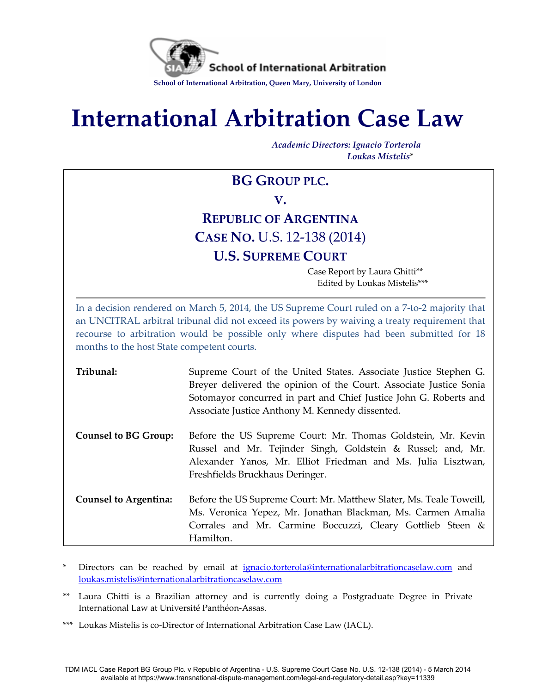

# **International Arbitration Case Law**

*Academic Directors: Ignacio Torterola Loukas Mistelis*\*

# **BG GROUP PLC. V. REPUBLIC OF ARGENTINA CASE NO.** U.S. 12-138 (2014) **U.S. SUPREME COURT**

Case Report by Laura Ghitti\*\* Edited by Loukas Mistelis\*\*\*

In a decision rendered on March 5, 2014, the US Supreme Court ruled on a 7-to-2 majority that an UNCITRAL arbitral tribunal did not exceed its powers by waiving a treaty requirement that recourse to arbitration would be possible only where disputes had been submitted for 18 months to the host State competent courts.

| Tribunal:                    | Supreme Court of the United States. Associate Justice Stephen G.<br>Breyer delivered the opinion of the Court. Associate Justice Sonia<br>Sotomayor concurred in part and Chief Justice John G. Roberts and<br>Associate Justice Anthony M. Kennedy dissented. |
|------------------------------|----------------------------------------------------------------------------------------------------------------------------------------------------------------------------------------------------------------------------------------------------------------|
| <b>Counsel to BG Group:</b>  | Before the US Supreme Court: Mr. Thomas Goldstein, Mr. Kevin<br>Russel and Mr. Tejinder Singh, Goldstein & Russel; and, Mr.<br>Alexander Yanos, Mr. Elliot Friedman and Ms. Julia Lisztwan,<br>Freshfields Bruckhaus Deringer.                                 |
| <b>Counsel to Argentina:</b> | Before the US Supreme Court: Mr. Matthew Slater, Ms. Teale Toweill,<br>Ms. Veronica Yepez, Mr. Jonathan Blackman, Ms. Carmen Amalia<br>Corrales and Mr. Carmine Boccuzzi, Cleary Gottlieb Steen &<br>Hamilton.                                                 |

Directors can be reached by email at [ignacio.torterola@internationalarbitrationcaselaw.com](mailto:ignacio.torterola@internationalarbitrationcaselaw.com) and [loukas.mistelis@internationalarbitrationcaselaw.com](mailto:loukas.mistelis@internationalarbitrationcaselaw.com)

\*\* Laura Ghitti is a Brazilian attorney and is currently doing a Postgraduate Degree in Private International Law at Université Panthéon-Assas.

\*\*\* Loukas Mistelis is co-Director of International Arbitration Case Law (IACL).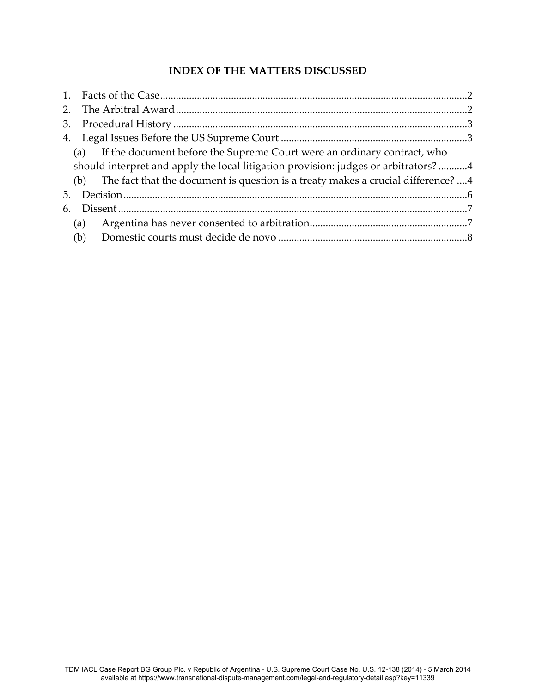## **INDEX OF THE MATTERS DISCUSSED**

| 3.  |                                                                                      |  |
|-----|--------------------------------------------------------------------------------------|--|
|     |                                                                                      |  |
|     | If the document before the Supreme Court were an ordinary contract, who<br>(a)       |  |
|     | should interpret and apply the local litigation provision: judges or arbitrators? 4  |  |
|     | (b) The fact that the document is question is a treaty makes a crucial difference? 4 |  |
| 5.  |                                                                                      |  |
| 6.  |                                                                                      |  |
|     | (a)                                                                                  |  |
| (b) |                                                                                      |  |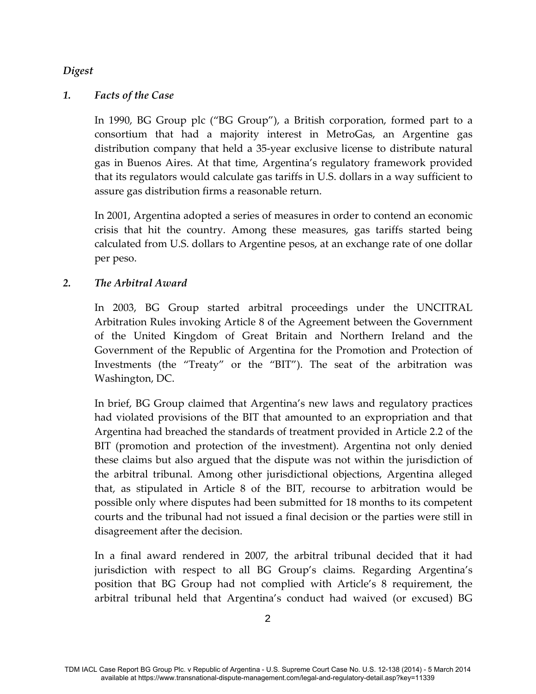#### *Digest*

#### <span id="page-2-0"></span>*1. Facts of the Case*

In 1990, BG Group plc ("BG Group"), a British corporation, formed part to a consortium that had a majority interest in MetroGas, an Argentine gas distribution company that held a 35-year exclusive license to distribute natural gas in Buenos Aires. At that time, Argentina's regulatory framework provided that its regulators would calculate gas tariffs in U.S. dollars in a way sufficient to assure gas distribution firms a reasonable return.

In 2001, Argentina adopted a series of measures in order to contend an economic crisis that hit the country. Among these measures, gas tariffs started being calculated from U.S. dollars to Argentine pesos, at an exchange rate of one dollar per peso.

#### <span id="page-2-1"></span>*2. The Arbitral Award*

In 2003, BG Group started arbitral proceedings under the UNCITRAL Arbitration Rules invoking Article 8 of the Agreement between the Government of the United Kingdom of Great Britain and Northern Ireland and the Government of the Republic of Argentina for the Promotion and Protection of Investments (the "Treaty" or the "BIT"). The seat of the arbitration was Washington, DC.

In brief, BG Group claimed that Argentina's new laws and regulatory practices had violated provisions of the BIT that amounted to an expropriation and that Argentina had breached the standards of treatment provided in Article 2.2 of the BIT (promotion and protection of the investment). Argentina not only denied these claims but also argued that the dispute was not within the jurisdiction of the arbitral tribunal. Among other jurisdictional objections, Argentina alleged that, as stipulated in Article 8 of the BIT, recourse to arbitration would be possible only where disputes had been submitted for 18 months to its competent courts and the tribunal had not issued a final decision or the parties were still in disagreement after the decision.

In a final award rendered in 2007, the arbitral tribunal decided that it had jurisdiction with respect to all BG Group's claims. Regarding Argentina's position that BG Group had not complied with Article's 8 requirement, the arbitral tribunal held that Argentina's conduct had waived (or excused) BG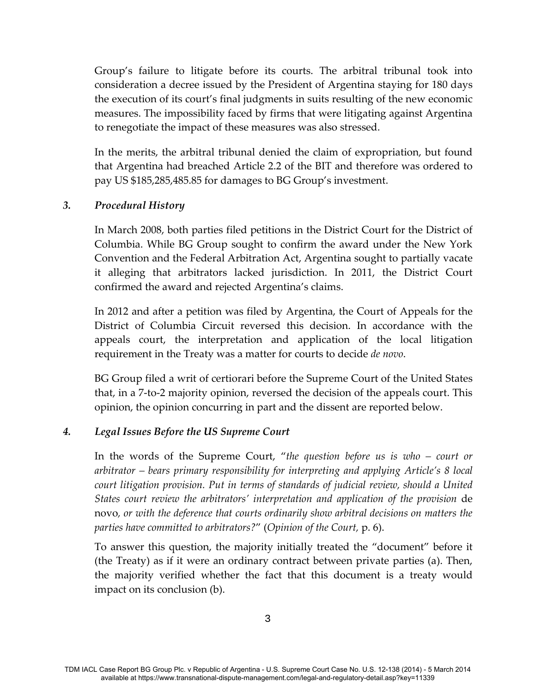Group's failure to litigate before its courts. The arbitral tribunal took into consideration a decree issued by the President of Argentina staying for 180 days the execution of its court's final judgments in suits resulting of the new economic measures. The impossibility faced by firms that were litigating against Argentina to renegotiate the impact of these measures was also stressed.

In the merits, the arbitral tribunal denied the claim of expropriation, but found that Argentina had breached Article 2.2 of the BIT and therefore was ordered to pay US \$185,285,485.85 for damages to BG Group's investment.

#### <span id="page-3-0"></span>*3. Procedural History*

In March 2008, both parties filed petitions in the District Court for the District of Columbia. While BG Group sought to confirm the award under the New York Convention and the Federal Arbitration Act, Argentina sought to partially vacate it alleging that arbitrators lacked jurisdiction. In 2011, the District Court confirmed the award and rejected Argentina's claims.

In 2012 and after a petition was filed by Argentina, the Court of Appeals for the District of Columbia Circuit reversed this decision. In accordance with the appeals court, the interpretation and application of the local litigation requirement in the Treaty was a matter for courts to decide *de novo*.

BG Group filed a writ of certiorari before the Supreme Court of the United States that, in a 7-to-2 majority opinion, reversed the decision of the appeals court. This opinion, the opinion concurring in part and the dissent are reported below.

#### <span id="page-3-1"></span>*4. Legal Issues Before the US Supreme Court*

In the words of the Supreme Court, "*the question before us is who – court or arbitrator – bears primary responsibility for interpreting and applying Article's 8 local court litigation provision. Put in terms of standards of judicial review, should a United States court review the arbitrators' interpretation and application of the provision* de novo*, or with the deference that courts ordinarily show arbitral decisions on matters the parties have committed to arbitrators?*" (*Opinion of the Court,* p. 6).

To answer this question, the majority initially treated the "document" before it (the Treaty) as if it were an ordinary contract between private parties (a). Then, the majority verified whether the fact that this document is a treaty would impact on its conclusion (b).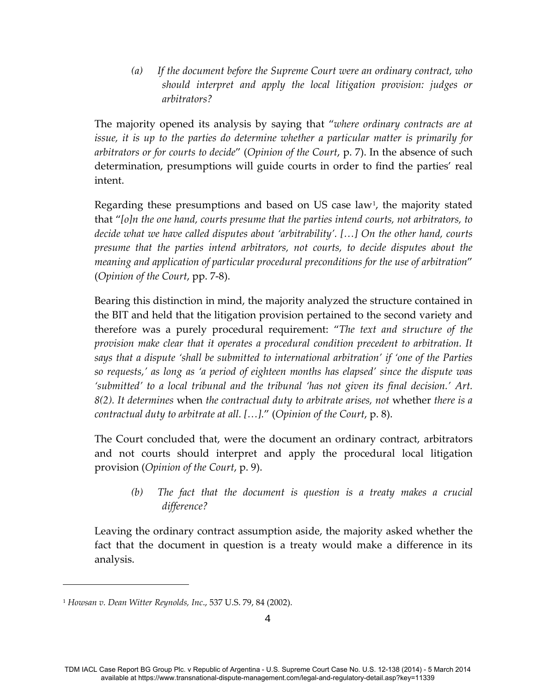*(a) If the document before the Supreme Court were an ordinary contract, who should interpret and apply the local litigation provision: judges or arbitrators?*

<span id="page-4-0"></span>The majority opened its analysis by saying that "*where ordinary contracts are at issue, it is up to the parties do determine whether a particular matter is primarily for arbitrators or for courts to decide*" (*Opinion of the Court*, p. 7). In the absence of such determination, presumptions will guide courts in order to find the parties' real intent.

Regarding these presumptions and based on US case law<sup>[1](#page-4-2)</sup>, the majority stated that "*[o]n the one hand, courts presume that the parties intend courts, not arbitrators, to decide what we have called disputes about 'arbitrability'. […] On the other hand, courts presume that the parties intend arbitrators, not courts, to decide disputes about the meaning and application of particular procedural preconditions for the use of arbitration*" (*Opinion of the Court*, pp. 7-8).

Bearing this distinction in mind, the majority analyzed the structure contained in the BIT and held that the litigation provision pertained to the second variety and therefore was a purely procedural requirement: "*The text and structure of the provision make clear that it operates a procedural condition precedent to arbitration. It says that a dispute 'shall be submitted to international arbitration' if 'one of the Parties so requests,' as long as 'a period of eighteen months has elapsed' since the dispute was 'submitted' to a local tribunal and the tribunal 'has not given its final decision.' Art. 8(2). It determines* when *the contractual duty to arbitrate arises, not* whether *there is a contractual duty to arbitrate at all. […].*" (*Opinion of the Court*, p. 8).

The Court concluded that, were the document an ordinary contract, arbitrators and not courts should interpret and apply the procedural local litigation provision (*Opinion of the Court*, p. 9).

*(b) The fact that the document is question is a treaty makes a crucial difference?* 

<span id="page-4-1"></span>Leaving the ordinary contract assumption aside, the majority asked whether the fact that the document in question is a treaty would make a difference in its analysis.

Ĩ.

<span id="page-4-2"></span><sup>1</sup> *Howsan v. Dean Witter Reynolds, Inc*., 537 U.S. 79, 84 (2002).

TDM IACL Case Report BG Group Plc. v Republic of Argentina - U.S. Supreme Court Case No. U.S. 12-138 (2014) - 5 March 2014 available at https://www.transnational-dispute-management.com/legal-and-regulatory-detail.asp?key=11339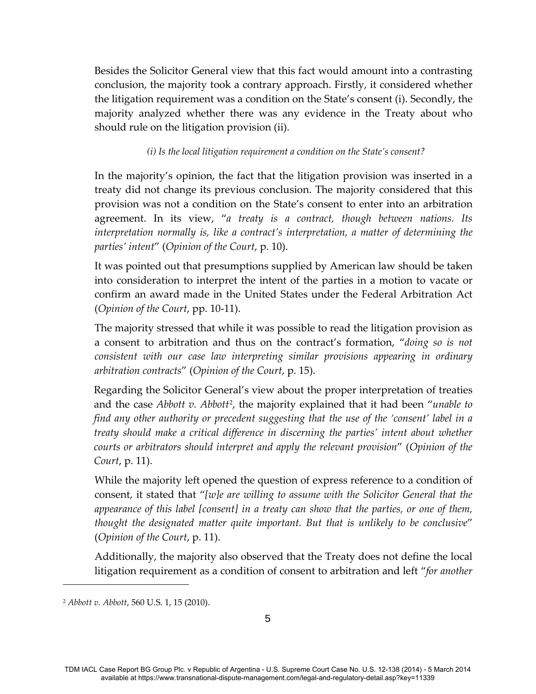Besides the Solicitor General view that this fact would amount into a contrasting conclusion, the majority took a contrary approach. Firstly, it considered whether the litigation requirement was a condition on the State's consent (i). Secondly, the majority analyzed whether there was any evidence in the Treaty about who should rule on the litigation provision (ii).

#### *(i) Is the local litigation requirement a condition on the State's consent?*

In the majority's opinion, the fact that the litigation provision was inserted in a treaty did not change its previous conclusion. The majority considered that this provision was not a condition on the State's consent to enter into an arbitration agreement. In its view, "*a treaty is a contract, though between nations. Its interpretation normally is, like a contract's interpretation, a matter of determining the parties' intent*" (*Opinion of the Court*, p. 10).

It was pointed out that presumptions supplied by American law should be taken into consideration to interpret the intent of the parties in a motion to vacate or confirm an award made in the United States under the Federal Arbitration Act (*Opinion of the Court*, pp. 10-11).

The majority stressed that while it was possible to read the litigation provision as a consent to arbitration and thus on the contract's formation, "*doing so is not consistent with our case law interpreting similar provisions appearing in ordinary arbitration contracts*" (*Opinion of the Court*, p. 15).

Regarding the Solicitor General's view about the proper interpretation of treaties and the case *Abbott v. Abbott*[2](#page-5-0) , the majority explained that it had been "*unable to find any other authority or precedent suggesting that the use of the 'consent' label in a treaty should make a critical difference in discerning the parties' intent about whether courts or arbitrators should interpret and apply the relevant provision*" (*Opinion of the Court*, p. 11).

While the majority left opened the question of express reference to a condition of consent, it stated that "*[w]e are willing to assume with the Solicitor General that the appearance of this label [consent] in a treaty can show that the parties, or one of them, thought the designated matter quite important. But that is unlikely to be conclusive*" (*Opinion of the Court*, p. 11).

Additionally, the majority also observed that the Treaty does not define the local litigation requirement as a condition of consent to arbitration and left "*for another* 

Ĩ.

<span id="page-5-0"></span><sup>2</sup> *Abbott v. Abbott*, 560 U.S. 1, 15 (2010).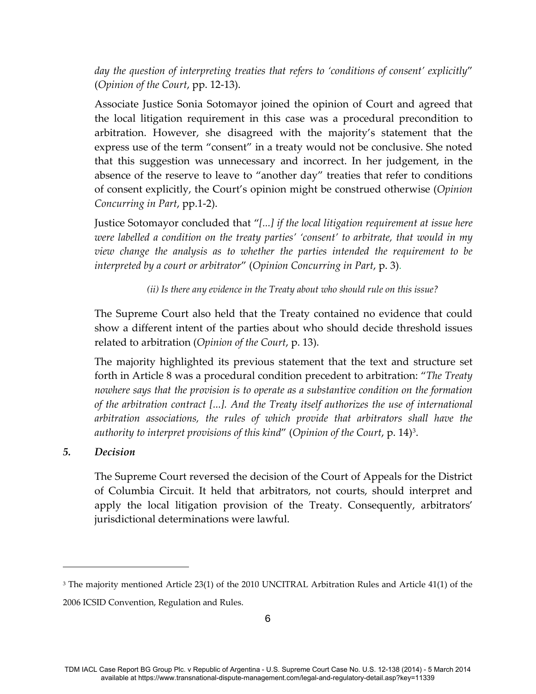*day the question of interpreting treaties that refers to 'conditions of consent' explicitly*" (*Opinion of the Court*, pp. 12-13).

Associate Justice Sonia Sotomayor joined the opinion of Court and agreed that the local litigation requirement in this case was a procedural precondition to arbitration. However, she disagreed with the majority's statement that the express use of the term "consent" in a treaty would not be conclusive. She noted that this suggestion was unnecessary and incorrect. In her judgement, in the absence of the reserve to leave to "another day" treaties that refer to conditions of consent explicitly, the Court's opinion might be construed otherwise (*Opinion Concurring in Part*, pp.1-2).

Justice Sotomayor concluded that "*[...] if the local litigation requirement at issue here were labelled a condition on the treaty parties' 'consent' to arbitrate, that would in my view change the analysis as to whether the parties intended the requirement to be interpreted by a court or arbitrator*" (*Opinion Concurring in Part*, p. 3).

#### *(ii) Is there any evidence in the Treaty about who should rule on this issue?*

The Supreme Court also held that the Treaty contained no evidence that could show a different intent of the parties about who should decide threshold issues related to arbitration (*Opinion of the Court*, p. 13).

The majority highlighted its previous statement that the text and structure set forth in Article 8 was a procedural condition precedent to arbitration: "*The Treaty nowhere says that the provision is to operate as a substantive condition on the formation of the arbitration contract [...]. And the Treaty itself authorizes the use of international arbitration associations, the rules of which provide that arbitrators shall have the authority to interpret provisions of this kind*" (*Opinion of the Court*, p. 14)[3](#page-6-1).

#### <span id="page-6-0"></span>*5. Decision*

Ĩ.

The Supreme Court reversed the decision of the Court of Appeals for the District of Columbia Circuit. It held that arbitrators, not courts, should interpret and apply the local litigation provision of the Treaty. Consequently, arbitrators' jurisdictional determinations were lawful.

<span id="page-6-1"></span><sup>3</sup> The majority mentioned Article 23(1) of the 2010 UNCITRAL Arbitration Rules and Article 41(1) of the 2006 ICSID Convention, Regulation and Rules.

TDM IACL Case Report BG Group Plc. v Republic of Argentina - U.S. Supreme Court Case No. U.S. 12-138 (2014) - 5 March 2014 available at https://www.transnational-dispute-management.com/legal-and-regulatory-detail.asp?key=11339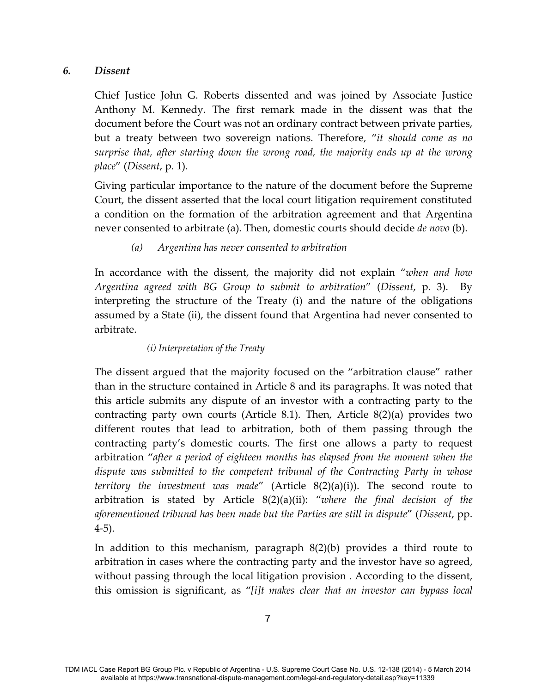#### <span id="page-7-0"></span>*6. Dissent*

Chief Justice John G. Roberts dissented and was joined by Associate Justice Anthony M. Kennedy. The first remark made in the dissent was that the document before the Court was not an ordinary contract between private parties, but a treaty between two sovereign nations. Therefore, "*it should come as no surprise that, after starting down the wrong road, the majority ends up at the wrong place*" (*Dissent*, p. 1).

Giving particular importance to the nature of the document before the Supreme Court, the dissent asserted that the local court litigation requirement constituted a condition on the formation of the arbitration agreement and that Argentina never consented to arbitrate (a). Then, domestic courts should decide *de novo* (b).

### *(a) Argentina has never consented to arbitration*

<span id="page-7-1"></span>In accordance with the dissent, the majority did not explain "*when and how Argentina agreed with BG Group to submit to arbitration*" (*Dissent*, p. 3). By interpreting the structure of the Treaty (i) and the nature of the obligations assumed by a State (ii), the dissent found that Argentina had never consented to arbitrate.

#### *(i) Interpretation of the Treaty*

The dissent argued that the majority focused on the "arbitration clause" rather than in the structure contained in Article 8 and its paragraphs. It was noted that this article submits any dispute of an investor with a contracting party to the contracting party own courts (Article 8.1). Then, Article 8(2)(a) provides two different routes that lead to arbitration, both of them passing through the contracting party's domestic courts. The first one allows a party to request arbitration "*after a period of eighteen months has elapsed from the moment when the dispute was submitted to the competent tribunal of the Contracting Party in whose territory the investment was made*" (Article 8(2)(a)(i)). The second route to arbitration is stated by Article 8(2)(a)(ii): "*where the final decision of the aforementioned tribunal has been made but the Parties are still in dispute*" (*Dissent*, pp. 4-5).

In addition to this mechanism, paragraph 8(2)(b) provides a third route to arbitration in cases where the contracting party and the investor have so agreed, without passing through the local litigation provision . According to the dissent, this omission is significant, as "*[i]t makes clear that an investor can bypass local*